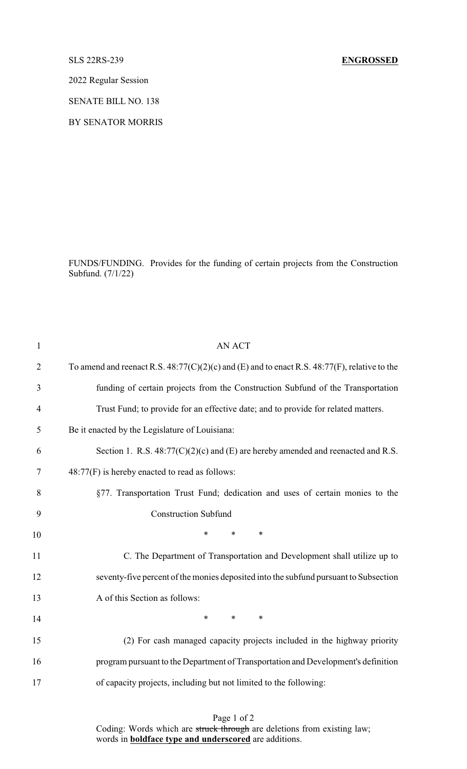## SLS 22RS-239 **ENGROSSED**

2022 Regular Session

SENATE BILL NO. 138

BY SENATOR MORRIS

FUNDS/FUNDING. Provides for the funding of certain projects from the Construction Subfund. (7/1/22)

| $\mathbf{1}$   | <b>AN ACT</b>                                                                                     |
|----------------|---------------------------------------------------------------------------------------------------|
| $\overline{2}$ | To amend and reenact R.S. $48:77(C)(2)(c)$ and (E) and to enact R.S. $48:77(F)$ , relative to the |
| 3              | funding of certain projects from the Construction Subfund of the Transportation                   |
| $\overline{4}$ | Trust Fund; to provide for an effective date; and to provide for related matters.                 |
| 5              | Be it enacted by the Legislature of Louisiana:                                                    |
| 6              | Section 1. R.S. $48:77(C)(2)(c)$ and (E) are hereby amended and reenacted and R.S.                |
| 7              | 48:77(F) is hereby enacted to read as follows:                                                    |
| 8              | §77. Transportation Trust Fund; dedication and uses of certain monies to the                      |
| 9              | <b>Construction Subfund</b>                                                                       |
| 10             | *<br>$\ast$<br>$\ast$                                                                             |
| 11             | C. The Department of Transportation and Development shall utilize up to                           |
| 12             | seventy-five percent of the monies deposited into the subfund pursuant to Subsection              |
| 13             | A of this Section as follows:                                                                     |
| 14             | $\ast$<br>$*$<br>$\ast$                                                                           |
| 15             | (2) For cash managed capacity projects included in the highway priority                           |
| 16             | program pursuant to the Department of Transportation and Development's definition                 |
| 17             | of capacity projects, including but not limited to the following:                                 |
|                |                                                                                                   |

Page 1 of 2 Coding: Words which are struck through are deletions from existing law; words in **boldface type and underscored** are additions.